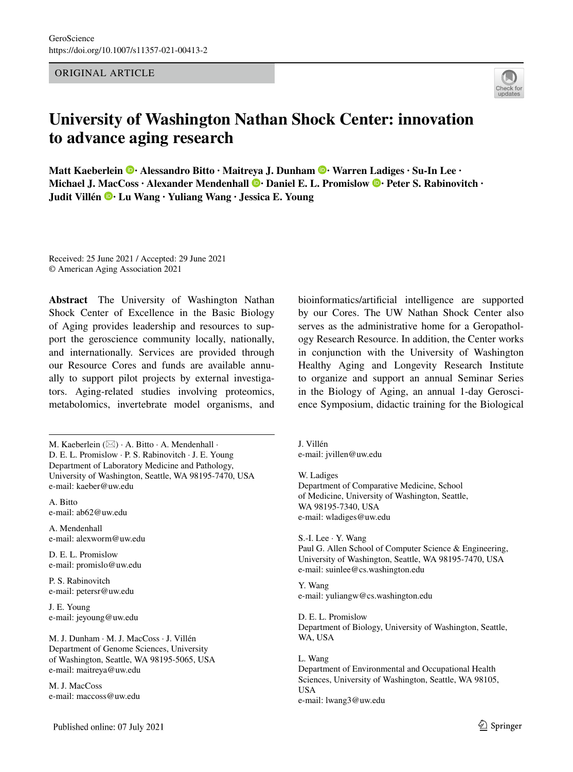ORIGINAL ARTICLE



# **University of Washington Nathan Shock Center: innovation to advance aging research**

**Matt Kaeberlein · Alessandro Bitto · Maitreya J. Dunham · Warren [Lad](http://orcid.org/0000-0001-7088-4495)iges · Su‑In Lee · MichaelJ. MacCoss · Alexander Mendenhall**  $\bullet$  **· Daniel E. L. Promislow**  $\bullet$  **· Peter S. Rabinovitch · Judit Villén · Lu Wang · Yuliang Wang · Jessica E. Young** 

Received: 25 June 2021 / Accepted: 29 June 2021 © American Aging Association 2021

**Abstract** The University of Washington Nathan Shock Center of Excellence in the Basic Biology of Aging provides leadership and resources to support the geroscience community locally, nationally, and internationally. Services are provided through our Resource Cores and funds are available annually to support pilot projects by external investigators. Aging-related studies involving proteomics, metabolomics, invertebrate model organisms, and

M. Kaeberlein  $(\boxtimes) \cdot A$ . Bitto  $\cdot A$ . Mendenhall  $\cdot$ D. E. L. Promislow · P. S. Rabinovitch · J. E. Young Department of Laboratory Medicine and Pathology, University of Washington, Seattle, WA 98195-7470, USA e-mail: kaeber@uw.edu

A. Bitto e-mail: ab62@uw.edu

A. Mendenhall e-mail: alexworm@uw.edu

D. E. L. Promislow e-mail: promislo@uw.edu

P. S. Rabinovitch e-mail: petersr@uw.edu

J. E. Young e-mail: jeyoung@uw.edu

M. J. Dunham · M. J. MacCoss · J. Villén Department of Genome Sciences, University of Washington, Seattle, WA 98195-5065, USA e-mail: maitreya@uw.edu

M. J. MacCoss e-mail: maccoss@uw.edu bioinformatics/artifcial intelligence are supported by our Cores. The UW Nathan Shock Center also serves as the administrative home for a Geropathology Research Resource. In addition, the Center works in conjunction with the University of Washington Healthy Aging and Longevity Research Institute to organize and support an annual Seminar Series in the Biology of Aging, an annual 1-day Geroscience Symposium, didactic training for the Biological

J. Villén e-mail: jvillen@uw.edu

W. Ladiges Department of Comparative Medicine, School of Medicine, University of Washington, Seattle, WA 98195-7340, USA e-mail: wladiges@uw.edu

S.-I. Lee · Y. Wang Paul G. Allen School of Computer Science & Engineering, University of Washington, Seattle, WA 98195-7470, USA e-mail: suinlee@cs.washington.edu

Y. Wang e-mail: yuliangw@cs.washington.edu

D. E. L. Promislow Department of Biology, University of Washington, Seattle, WA, USA

L. Wang Department of Environmental and Occupational Health Sciences, University of Washington, Seattle, WA 98105, USA e-mail: lwang3@uw.edu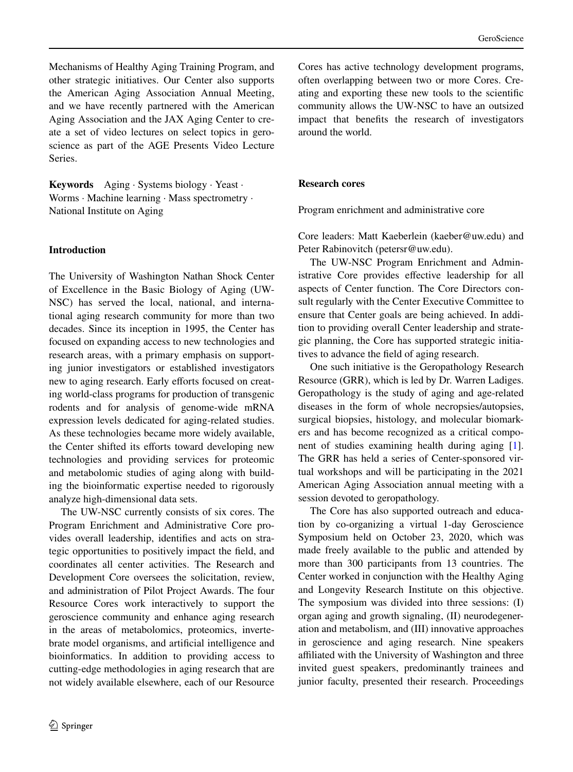Mechanisms of Healthy Aging Training Program, and other strategic initiatives. Our Center also supports the American Aging Association Annual Meeting, and we have recently partnered with the American Aging Association and the JAX Aging Center to create a set of video lectures on select topics in geroscience as part of the AGE Presents Video Lecture Series.

**Keywords** Aging · Systems biology · Yeast · Worms · Machine learning · Mass spectrometry · National Institute on Aging

### **Introduction**

The University of Washington Nathan Shock Center of Excellence in the Basic Biology of Aging (UW-NSC) has served the local, national, and international aging research community for more than two decades. Since its inception in 1995, the Center has focused on expanding access to new technologies and research areas, with a primary emphasis on supporting junior investigators or established investigators new to aging research. Early efforts focused on creating world-class programs for production of transgenic rodents and for analysis of genome-wide mRNA expression levels dedicated for aging-related studies. As these technologies became more widely available, the Center shifted its efforts toward developing new technologies and providing services for proteomic and metabolomic studies of aging along with building the bioinformatic expertise needed to rigorously analyze high-dimensional data sets.

The UW-NSC currently consists of six cores. The Program Enrichment and Administrative Core provides overall leadership, identifes and acts on strategic opportunities to positively impact the feld, and coordinates all center activities. The Research and Development Core oversees the solicitation, review, and administration of Pilot Project Awards. The four Resource Cores work interactively to support the geroscience community and enhance aging research in the areas of metabolomics, proteomics, invertebrate model organisms, and artifcial intelligence and bioinformatics. In addition to providing access to cutting-edge methodologies in aging research that are not widely available elsewhere, each of our Resource Cores has active technology development programs, often overlapping between two or more Cores. Creating and exporting these new tools to the scientifc community allows the UW-NSC to have an outsized impact that benefts the research of investigators around the world.

#### **Research cores**

Program enrichment and administrative core

Core leaders: Matt Kaeberlein (kaeber@uw.edu) and Peter Rabinovitch (petersr@uw.edu).

The UW-NSC Program Enrichment and Administrative Core provides efective leadership for all aspects of Center function. The Core Directors consult regularly with the Center Executive Committee to ensure that Center goals are being achieved. In addition to providing overall Center leadership and strategic planning, the Core has supported strategic initiatives to advance the feld of aging research.

One such initiative is the Geropathology Research Resource (GRR), which is led by Dr. Warren Ladiges. Geropathology is the study of aging and age-related diseases in the form of whole necropsies/autopsies, surgical biopsies, histology, and molecular biomarkers and has become recognized as a critical component of studies examining health during aging [\[1](#page-3-0)]. The GRR has held a series of Center-sponsored virtual workshops and will be participating in the 2021 American Aging Association annual meeting with a session devoted to geropathology.

The Core has also supported outreach and education by co-organizing a virtual 1-day Geroscience Symposium held on October 23, 2020, which was made freely available to the public and attended by more than 300 participants from 13 countries. The Center worked in conjunction with the Healthy Aging and Longevity Research Institute on this objective. The symposium was divided into three sessions: (I) organ aging and growth signaling, (II) neurodegeneration and metabolism, and (III) innovative approaches in geroscience and aging research. Nine speakers affiliated with the University of Washington and three invited guest speakers, predominantly trainees and junior faculty, presented their research. Proceedings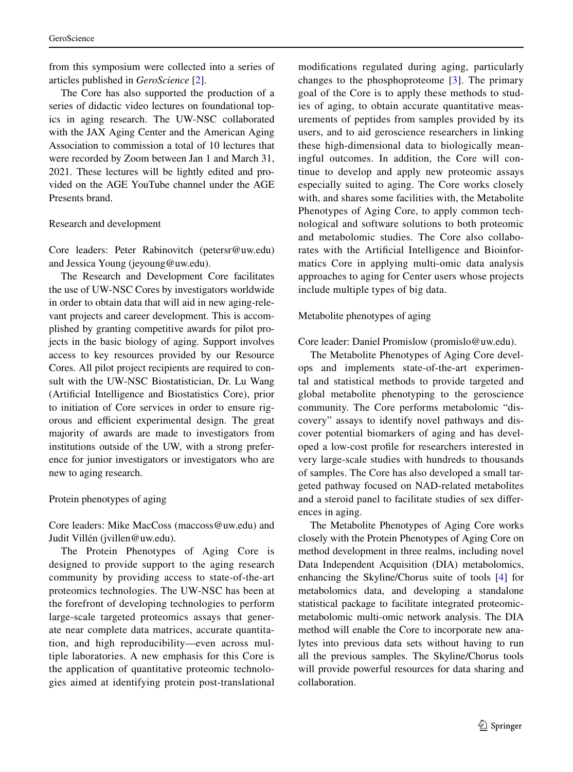from this symposium were collected into a series of articles published in *GeroScience* [[2\]](#page-3-1).

The Core has also supported the production of a series of didactic video lectures on foundational topics in aging research. The UW-NSC collaborated with the JAX Aging Center and the American Aging Association to commission a total of 10 lectures that were recorded by Zoom between Jan 1 and March 31, 2021. These lectures will be lightly edited and provided on the AGE YouTube channel under the AGE Presents brand.

### Research and development

Core leaders: Peter Rabinovitch (petersr@uw.edu) and Jessica Young (jeyoung@uw.edu).

The Research and Development Core facilitates the use of UW-NSC Cores by investigators worldwide in order to obtain data that will aid in new aging-relevant projects and career development. This is accomplished by granting competitive awards for pilot projects in the basic biology of aging. Support involves access to key resources provided by our Resource Cores. All pilot project recipients are required to consult with the UW-NSC Biostatistician, Dr. Lu Wang (Artifcial Intelligence and Biostatistics Core), prior to initiation of Core services in order to ensure rigorous and efficient experimental design. The great majority of awards are made to investigators from institutions outside of the UW, with a strong preference for junior investigators or investigators who are new to aging research.

## Protein phenotypes of aging

Core leaders: Mike MacCoss (maccoss@uw.edu) and Judit Villén (jvillen@uw.edu).

The Protein Phenotypes of Aging Core is designed to provide support to the aging research community by providing access to state-of-the-art proteomics technologies. The UW-NSC has been at the forefront of developing technologies to perform large-scale targeted proteomics assays that generate near complete data matrices, accurate quantitation, and high reproducibility—even across multiple laboratories. A new emphasis for this Core is the application of quantitative proteomic technologies aimed at identifying protein post-translational modifcations regulated during aging, particularly changes to the phosphoproteome [[3](#page-3-2)]. The primary goal of the Core is to apply these methods to studies of aging, to obtain accurate quantitative measurements of peptides from samples provided by its users, and to aid geroscience researchers in linking these high-dimensional data to biologically meaningful outcomes. In addition, the Core will continue to develop and apply new proteomic assays especially suited to aging. The Core works closely with, and shares some facilities with, the Metabolite Phenotypes of Aging Core, to apply common technological and software solutions to both proteomic and metabolomic studies. The Core also collaborates with the Artifcial Intelligence and Bioinformatics Core in applying multi-omic data analysis approaches to aging for Center users whose projects include multiple types of big data.

## Metabolite phenotypes of aging

Core leader: Daniel Promislow (promislo@uw.edu).

The Metabolite Phenotypes of Aging Core develops and implements state-of-the-art experimental and statistical methods to provide targeted and global metabolite phenotyping to the geroscience community. The Core performs metabolomic "discovery" assays to identify novel pathways and discover potential biomarkers of aging and has developed a low-cost profle for researchers interested in very large-scale studies with hundreds to thousands of samples. The Core has also developed a small targeted pathway focused on NAD-related metabolites and a steroid panel to facilitate studies of sex diferences in aging.

The Metabolite Phenotypes of Aging Core works closely with the Protein Phenotypes of Aging Core on method development in three realms, including novel Data Independent Acquisition (DIA) metabolomics, enhancing the Skyline/Chorus suite of tools [\[4](#page-3-3)] for metabolomics data, and developing a standalone statistical package to facilitate integrated proteomicmetabolomic multi-omic network analysis. The DIA method will enable the Core to incorporate new analytes into previous data sets without having to run all the previous samples. The Skyline/Chorus tools will provide powerful resources for data sharing and collaboration.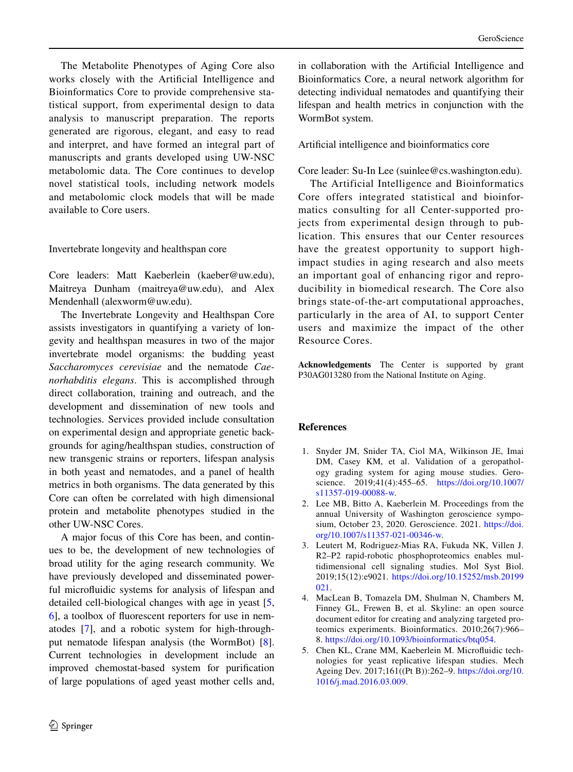The Metabolite Phenotypes of Aging Core also works closely with the Artifcial Intelligence and Bioinformatics Core to provide comprehensive statistical support, from experimental design to data analysis to manuscript preparation. The reports generated are rigorous, elegant, and easy to read and interpret, and have formed an integral part of manuscripts and grants developed using UW-NSC metabolomic data. The Core continues to develop novel statistical tools, including network models and metabolomic clock models that will be made available to Core users.

Invertebrate longevity and healthspan core

Core leaders: Matt Kaeberlein (kaeber@uw.edu), Maitreya Dunham (maitreya@uw.edu), and Alex Mendenhall (alexworm@uw.edu).

The Invertebrate Longevity and Healthspan Core assists investigators in quantifying a variety of longevity and healthspan measures in two of the major invertebrate model organisms: the budding yeast *Saccharomyces cerevisiae* and the nematode *Caenorhabditis elegans*. This is accomplished through direct collaboration, training and outreach, and the development and dissemination of new tools and technologies. Services provided include consultation on experimental design and appropriate genetic backgrounds for aging/healthspan studies, construction of new transgenic strains or reporters, lifespan analysis in both yeast and nematodes, and a panel of health metrics in both organisms. The data generated by this Core can often be correlated with high dimensional protein and metabolite phenotypes studied in the other UW-NSC Cores.

A major focus of this Core has been, and continues to be, the development of new technologies of broad utility for the aging research community. We have previously developed and disseminated powerful microfuidic systems for analysis of lifespan and detailed cell-biological changes with age in yeast [[5,](#page-3-4) [6\]](#page-4-0), a toolbox of fuorescent reporters for use in nematodes [[7\]](#page-4-1), and a robotic system for high-throughput nematode lifespan analysis (the WormBot) [\[8](#page-4-2)]. Current technologies in development include an improved chemostat-based system for purifcation of large populations of aged yeast mother cells and,

in collaboration with the Artifcial Intelligence and Bioinformatics Core, a neural network algorithm for detecting individual nematodes and quantifying their lifespan and health metrics in conjunction with the WormBot system.

Artifcial intelligence and bioinformatics core

Core leader: Su-In Lee (suinlee@cs.washington.edu).

The Artificial Intelligence and Bioinformatics Core offers integrated statistical and bioinformatics consulting for all Center-supported projects from experimental design through to publication. This ensures that our Center resources have the greatest opportunity to support highimpact studies in aging research and also meets an important goal of enhancing rigor and reproducibility in biomedical research. The Core also brings state-of-the-art computational approaches, particularly in the area of AI, to support Center users and maximize the impact of the other Resource Cores.

**Acknowledgements** The Center is supported by grant P30AG013280 from the National Institute on Aging.

## **References**

- <span id="page-3-0"></span>1. Snyder JM, Snider TA, Ciol MA, Wilkinson JE, Imai DM, Casey KM, et al. Validation of a geropathology grading system for aging mouse studies. Geroscience. 2019;41(4):455–65. [https://doi.org/10.1007/](https://doi.org/10.1007/s11357-019-00088-w) [s11357-019-00088-w.](https://doi.org/10.1007/s11357-019-00088-w)
- <span id="page-3-1"></span>2. Lee MB, Bitto A, Kaeberlein M. Proceedings from the annual University of Washington geroscience symposium, October 23, 2020. Geroscience. 2021. [https://doi.](https://doi.org/10.1007/s11357-021-00346-w) [org/10.1007/s11357-021-00346-w.](https://doi.org/10.1007/s11357-021-00346-w)
- <span id="page-3-2"></span>3. Leutert M, Rodriguez-Mias RA, Fukuda NK, Villen J. R2–P2 rapid-robotic phosphoproteomics enables multidimensional cell signaling studies. Mol Syst Biol. 2019;15(12):e9021. [https://doi.org/10.15252/msb.20199](https://doi.org/10.15252/msb.20199021) [021.](https://doi.org/10.15252/msb.20199021)
- <span id="page-3-3"></span>4. MacLean B, Tomazela DM, Shulman N, Chambers M, Finney GL, Frewen B, et al. Skyline: an open source document editor for creating and analyzing targeted proteomics experiments. Bioinformatics. 2010;26(7):966– 8. [https://doi.org/10.1093/bioinformatics/btq054.](https://doi.org/10.1093/bioinformatics/btq054)
- <span id="page-3-4"></span>5. Chen KL, Crane MM, Kaeberlein M. Microfuidic technologies for yeast replicative lifespan studies. Mech Ageing Dev. 2017;161((Pt B)):262–9. [https://doi.org/10.](https://doi.org/10.1016/j.mad.2016.03.009) [1016/j.mad.2016.03.009.](https://doi.org/10.1016/j.mad.2016.03.009)